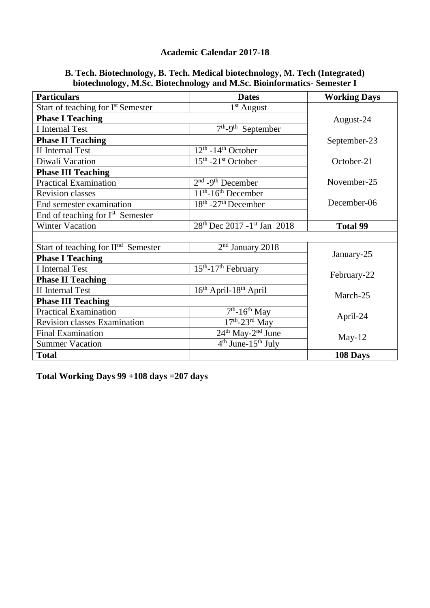## **Academic Calendar 2017-18**

| B. Tech. Biotechnology, B. Tech. Medical biotechnology, M. Tech (Integrated) |
|------------------------------------------------------------------------------|
| biotechnology, M.Sc. Biotechnology and M.Sc. Bioinformatics-Semester I       |

| <b>Particulars</b>                              | <b>Dates</b>                                         | <b>Working Days</b> |  |
|-------------------------------------------------|------------------------------------------------------|---------------------|--|
| Start of teaching for I <sup>st</sup> Semester  | $1st$ August                                         |                     |  |
| <b>Phase I Teaching</b>                         | August-24                                            |                     |  |
| <b>I</b> Internal Test                          | $7th$ -9 <sup>th</sup> September                     |                     |  |
| <b>Phase II Teaching</b>                        | September-23                                         |                     |  |
| <b>II</b> Internal Test                         | $12th$ -14 <sup>th</sup> October                     |                     |  |
| Diwali Vacation                                 | $15th - 21st$ October                                | October-21          |  |
| <b>Phase III Teaching</b>                       |                                                      |                     |  |
| <b>Practical Examination</b>                    | $2nd$ -9 <sup>th</sup> December                      | November-25         |  |
| Revision classes                                | 11 <sup>th</sup> -16 <sup>th</sup> December          |                     |  |
| End semester examination                        | $18th - 27th$ December                               | December-06         |  |
| End of teaching for $Ist$ Semester              |                                                      |                     |  |
| <b>Winter Vacation</b>                          | 28 <sup>th</sup> Dec 2017 - 1 <sup>st</sup> Jan 2018 | <b>Total 99</b>     |  |
|                                                 |                                                      |                     |  |
| Start of teaching for II <sup>nd</sup> Semester | $2nd$ January 2018                                   |                     |  |
| <b>Phase I Teaching</b>                         | January-25                                           |                     |  |
| <b>I</b> Internal Test                          | $15th - 17th$ February                               |                     |  |
| <b>Phase II Teaching</b>                        | February-22                                          |                     |  |
| <b>II</b> Internal Test                         | 16 <sup>th</sup> April-18 <sup>th</sup> April        | March-25            |  |
| <b>Phase III Teaching</b>                       |                                                      |                     |  |
| <b>Practical Examination</b>                    | $7th - 16th$ May                                     |                     |  |
| <b>Revision classes Examination</b>             | $\overline{17^{th}}$ -23 <sup>rd</sup> May           | April-24            |  |
| <b>Final Examination</b>                        | 24 <sup>th</sup> May-2 <sup>nd</sup> June            | $May-12$            |  |
| <b>Summer Vacation</b>                          | $4th$ June-15 <sup>th</sup> July                     |                     |  |
| <b>Total</b>                                    |                                                      | 108 Days            |  |

**Total Working Days 99 +108 days =207 days**